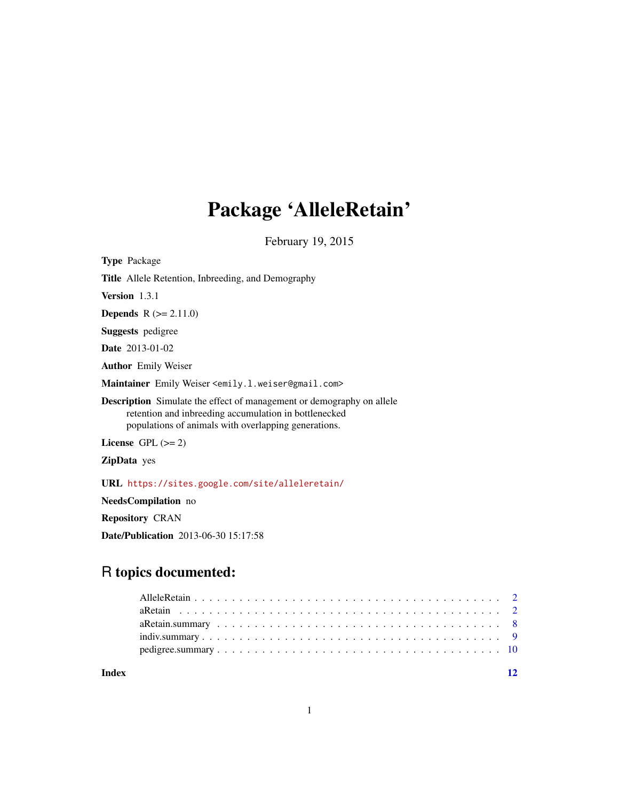# Package 'AlleleRetain'

February 19, 2015

| <b>Type Package</b>                                                                                                                                                                           |
|-----------------------------------------------------------------------------------------------------------------------------------------------------------------------------------------------|
| <b>Title</b> Allele Retention, Inbreeding, and Demography                                                                                                                                     |
| Version $1.3.1$                                                                                                                                                                               |
| <b>Depends</b> $R (= 2.11.0)$                                                                                                                                                                 |
| <b>Suggests</b> pedigree                                                                                                                                                                      |
| <b>Date</b> 2013-01-02                                                                                                                                                                        |
| <b>Author</b> Emily Weiser                                                                                                                                                                    |
| Maintainer Emily Weiser <emily.1.weiser@gmail.com></emily.1.weiser@gmail.com>                                                                                                                 |
| <b>Description</b> Simulate the effect of management or demography on allele<br>retention and inbreeding accumulation in bottlenecked<br>populations of animals with overlapping generations. |
| License $GPL (= 2)$                                                                                                                                                                           |
| <b>ZipData</b> yes                                                                                                                                                                            |
| URL https://sites.google.com/site/alleleretain/                                                                                                                                               |
|                                                                                                                                                                                               |

NeedsCompilation no

Repository CRAN

Date/Publication 2013-06-30 15:17:58

# R topics documented:

| Index |  |  |  |  |  |  |  |  |  |  |  |  |  |  |  |  |
|-------|--|--|--|--|--|--|--|--|--|--|--|--|--|--|--|--|
|       |  |  |  |  |  |  |  |  |  |  |  |  |  |  |  |  |
|       |  |  |  |  |  |  |  |  |  |  |  |  |  |  |  |  |
|       |  |  |  |  |  |  |  |  |  |  |  |  |  |  |  |  |
|       |  |  |  |  |  |  |  |  |  |  |  |  |  |  |  |  |
|       |  |  |  |  |  |  |  |  |  |  |  |  |  |  |  |  |
|       |  |  |  |  |  |  |  |  |  |  |  |  |  |  |  |  |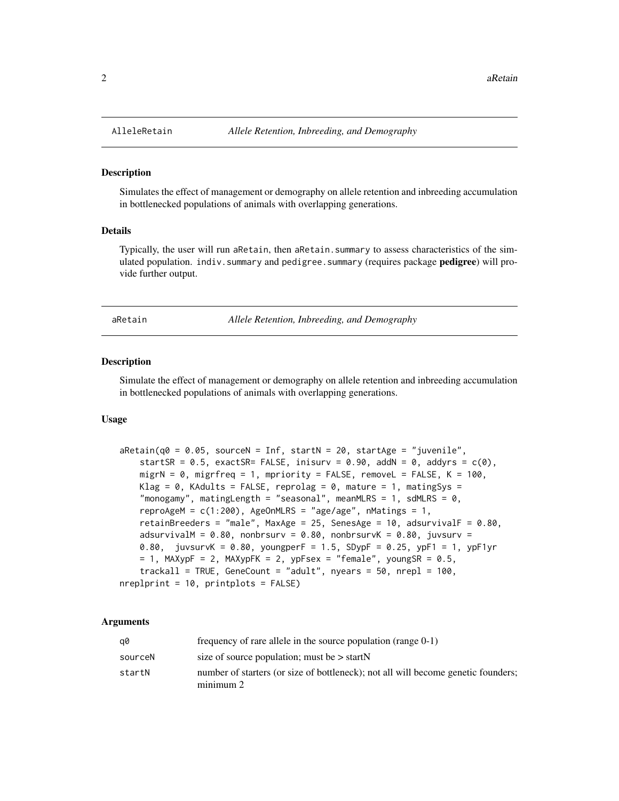#### Description

Simulates the effect of management or demography on allele retention and inbreeding accumulation in bottlenecked populations of animals with overlapping generations.

#### Details

Typically, the user will run aRetain, then aRetain. summary to assess characteristics of the simulated population. indiv.summary and pedigree.summary (requires package **pedigree**) will provide further output.

aRetain *Allele Retention, Inbreeding, and Demography*

#### Description

Simulate the effect of management or demography on allele retention and inbreeding accumulation in bottlenecked populations of animals with overlapping generations.

#### Usage

```
aRetain(q0 = 0.05, sourceN = Inf, startN = 20, startAge = "juvenile",
    startSR = 0.5, exactSR= FALSE, inisurv = 0.90, addN = 0, addyrs = c(0),
   migrN = \theta, migrfreq = 1, mpriority = FALSE, removeL = FALSE, K = 100,
   Klag = \theta, KAdults = FALSE, reprolag = \theta, mature = 1, matingSys =
    "monogamy", matingLength = "seasonal", meanMLRS = 1, sdMLRS = 0,
    reproAgeM = c(1:200), AgeOnMLRS = "age/age", nMatings = 1,
    retainBreeders = "male", MaxAge = 25, SenesAge = 10, adsurvivalF = 0.80,
    adsurvivalM = 0.80, nonbrsurv = 0.80, nonbrsurvK = 0.80, juvsurv =
   0.80, juvsurvK = 0.80, youngperF = 1.5, SDypF = 0.25, ypF1 = 1, ypF1yr
   = 1, MAXypF = 2, MAXypFK = 2, ypFsex = "female", youngSR = 0.5,
    trackall = TRUE, GeneCount = "adult", nyears = 50, nrepl = 100,
nreplprint = 10, printplots = FALSE)
```
#### Arguments

| a0      | frequency of rare allele in the source population (range $0-1$ )                               |
|---------|------------------------------------------------------------------------------------------------|
| sourceN | size of source population; must be $>$ startN                                                  |
| startN  | number of starters (or size of bottleneck); not all will become genetic founders;<br>minimum 2 |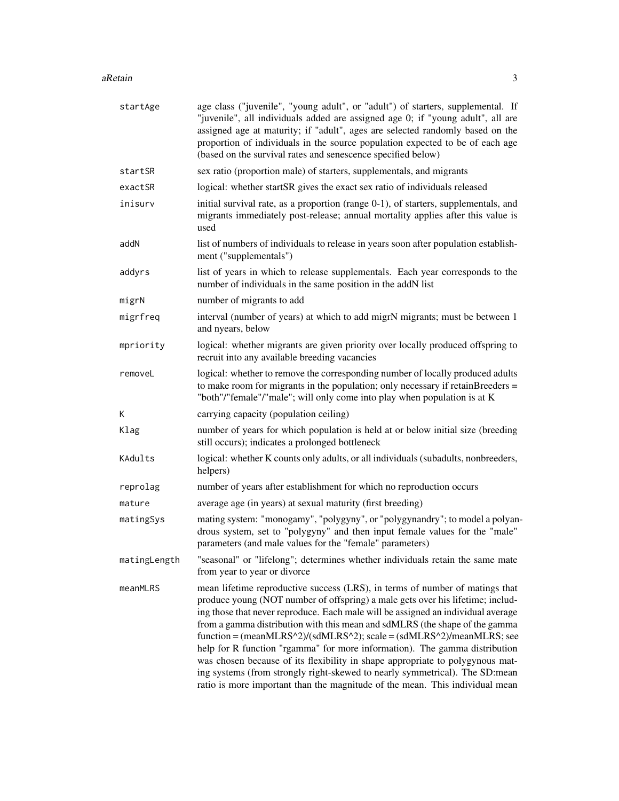#### $a$ Retain  $3a$

| startAge     | age class ("juvenile", "young adult", or "adult") of starters, supplemental. If<br>"juvenile", all individuals added are assigned age 0; if "young adult", all are<br>assigned age at maturity; if "adult", ages are selected randomly based on the<br>proportion of individuals in the source population expected to be of each age<br>(based on the survival rates and senescence specified below)                                                                                                                                                                                                                                                                                                                                          |
|--------------|-----------------------------------------------------------------------------------------------------------------------------------------------------------------------------------------------------------------------------------------------------------------------------------------------------------------------------------------------------------------------------------------------------------------------------------------------------------------------------------------------------------------------------------------------------------------------------------------------------------------------------------------------------------------------------------------------------------------------------------------------|
| startSR      | sex ratio (proportion male) of starters, supplementals, and migrants                                                                                                                                                                                                                                                                                                                                                                                                                                                                                                                                                                                                                                                                          |
| exactSR      | logical: whether startSR gives the exact sex ratio of individuals released                                                                                                                                                                                                                                                                                                                                                                                                                                                                                                                                                                                                                                                                    |
| inisurv      | initial survival rate, as a proportion (range 0-1), of starters, supplementals, and<br>migrants immediately post-release; annual mortality applies after this value is<br>used                                                                                                                                                                                                                                                                                                                                                                                                                                                                                                                                                                |
| addN         | list of numbers of individuals to release in years soon after population establish-<br>ment ("supplementals")                                                                                                                                                                                                                                                                                                                                                                                                                                                                                                                                                                                                                                 |
| addyrs       | list of years in which to release supplementals. Each year corresponds to the<br>number of individuals in the same position in the addN list                                                                                                                                                                                                                                                                                                                                                                                                                                                                                                                                                                                                  |
| migrN        | number of migrants to add                                                                                                                                                                                                                                                                                                                                                                                                                                                                                                                                                                                                                                                                                                                     |
| migrfreq     | interval (number of years) at which to add migrN migrants; must be between 1<br>and nyears, below                                                                                                                                                                                                                                                                                                                                                                                                                                                                                                                                                                                                                                             |
| mpriority    | logical: whether migrants are given priority over locally produced offspring to<br>recruit into any available breeding vacancies                                                                                                                                                                                                                                                                                                                                                                                                                                                                                                                                                                                                              |
| removeL      | logical: whether to remove the corresponding number of locally produced adults<br>to make room for migrants in the population; only necessary if retainBreeders $=$<br>"both"/"female"/"male"; will only come into play when population is at K                                                                                                                                                                                                                                                                                                                                                                                                                                                                                               |
| Κ            | carrying capacity (population ceiling)                                                                                                                                                                                                                                                                                                                                                                                                                                                                                                                                                                                                                                                                                                        |
| Klag         | number of years for which population is held at or below initial size (breeding<br>still occurs); indicates a prolonged bottleneck                                                                                                                                                                                                                                                                                                                                                                                                                                                                                                                                                                                                            |
| KAdults      | logical: whether K counts only adults, or all individuals (subadults, nonbreeders,<br>helpers)                                                                                                                                                                                                                                                                                                                                                                                                                                                                                                                                                                                                                                                |
| reprolag     | number of years after establishment for which no reproduction occurs                                                                                                                                                                                                                                                                                                                                                                                                                                                                                                                                                                                                                                                                          |
| mature       | average age (in years) at sexual maturity (first breeding)                                                                                                                                                                                                                                                                                                                                                                                                                                                                                                                                                                                                                                                                                    |
| matingSys    | mating system: "monogamy", "polygyny", or "polygynandry"; to model a polyan-<br>drous system, set to "polygyny" and then input female values for the "male"<br>parameters (and male values for the "female" parameters)                                                                                                                                                                                                                                                                                                                                                                                                                                                                                                                       |
| matingLength | "seasonal" or "lifelong"; determines whether individuals retain the same mate<br>from year to year or divorce                                                                                                                                                                                                                                                                                                                                                                                                                                                                                                                                                                                                                                 |
| meanMLRS     | mean lifetime reproductive success (LRS), in terms of number of matings that<br>produce young (NOT number of offspring) a male gets over his lifetime; includ-<br>ing those that never reproduce. Each male will be assigned an individual average<br>from a gamma distribution with this mean and sdMLRS (the shape of the gamma<br>$function = (meanMLRS^2)/(sdMLRS^2)$ ; scale = $(sdMLRS^2)/meanMLRS$ ; see<br>help for R function "rgamma" for more information). The gamma distribution<br>was chosen because of its flexibility in shape appropriate to polygynous mat-<br>ing systems (from strongly right-skewed to nearly symmetrical). The SD:mean<br>ratio is more important than the magnitude of the mean. This individual mean |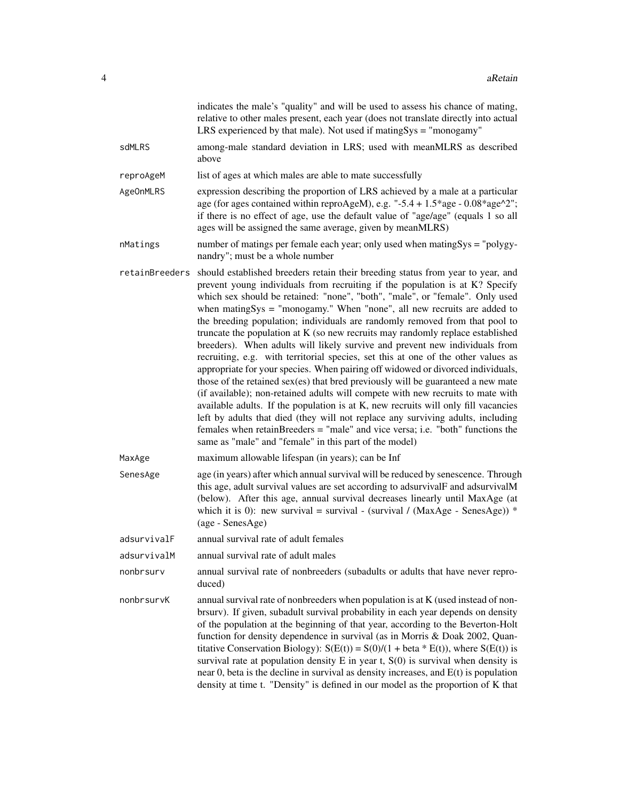|                  | indicates the male's "quality" and will be used to assess his chance of mating,<br>relative to other males present, each year (does not translate directly into actual<br>LRS experienced by that male). Not used if mating $Sys = "monogamy"$                                                                                                                                                                                                                                                                                                                                                                                                                                                                                                                                                                                                                                                                                                                                                                                                                                                                                                                                                                                                    |
|------------------|---------------------------------------------------------------------------------------------------------------------------------------------------------------------------------------------------------------------------------------------------------------------------------------------------------------------------------------------------------------------------------------------------------------------------------------------------------------------------------------------------------------------------------------------------------------------------------------------------------------------------------------------------------------------------------------------------------------------------------------------------------------------------------------------------------------------------------------------------------------------------------------------------------------------------------------------------------------------------------------------------------------------------------------------------------------------------------------------------------------------------------------------------------------------------------------------------------------------------------------------------|
| sdMLRS           | among-male standard deviation in LRS; used with meanMLRS as described<br>above                                                                                                                                                                                                                                                                                                                                                                                                                                                                                                                                                                                                                                                                                                                                                                                                                                                                                                                                                                                                                                                                                                                                                                    |
| reproAgeM        | list of ages at which males are able to mate successfully                                                                                                                                                                                                                                                                                                                                                                                                                                                                                                                                                                                                                                                                                                                                                                                                                                                                                                                                                                                                                                                                                                                                                                                         |
| <b>AgeOnMLRS</b> | expression describing the proportion of LRS achieved by a male at a particular<br>age (for ages contained within reproAgeM), e.g. "-5.4 + $1.5*$ age - $0.08*$ age $^2$ ";<br>if there is no effect of age, use the default value of "age/age" (equals 1 so all<br>ages will be assigned the same average, given by meanMLRS)                                                                                                                                                                                                                                                                                                                                                                                                                                                                                                                                                                                                                                                                                                                                                                                                                                                                                                                     |
| nMatings         | number of matings per female each year; only used when matingSys = "polygy-<br>nandry"; must be a whole number                                                                                                                                                                                                                                                                                                                                                                                                                                                                                                                                                                                                                                                                                                                                                                                                                                                                                                                                                                                                                                                                                                                                    |
| retainBreeders   | should established breeders retain their breeding status from year to year, and<br>prevent young individuals from recruiting if the population is at K? Specify<br>which sex should be retained: "none", "both", "male", or "female". Only used<br>when mating $Sys = "monogamy."$ When "none", all new recruits are added to<br>the breeding population; individuals are randomly removed from that pool to<br>truncate the population at K (so new recruits may randomly replace established<br>breeders). When adults will likely survive and prevent new individuals from<br>recruiting, e.g. with territorial species, set this at one of the other values as<br>appropriate for your species. When pairing off widowed or divorced individuals,<br>those of the retained sex(es) that bred previously will be guaranteed a new mate<br>(if available); non-retained adults will compete with new recruits to mate with<br>available adults. If the population is at K, new recruits will only fill vacancies<br>left by adults that died (they will not replace any surviving adults, including<br>females when retainBreeders = "male" and vice versa; i.e. "both" functions the<br>same as "male" and "female" in this part of the model) |
| MaxAge           | maximum allowable lifespan (in years); can be Inf                                                                                                                                                                                                                                                                                                                                                                                                                                                                                                                                                                                                                                                                                                                                                                                                                                                                                                                                                                                                                                                                                                                                                                                                 |
| SenesAge         | age (in years) after which annual survival will be reduced by senescence. Through<br>this age, adult survival values are set according to adsurvivalF and adsurvivalM<br>(below). After this age, annual survival decreases linearly until MaxAge (at<br>which it is 0): new survival = survival - (survival / (MaxAge - SenesAge)) *<br>(age - SenesAge)                                                                                                                                                                                                                                                                                                                                                                                                                                                                                                                                                                                                                                                                                                                                                                                                                                                                                         |
| adsurvivalF      | annual survival rate of adult females                                                                                                                                                                                                                                                                                                                                                                                                                                                                                                                                                                                                                                                                                                                                                                                                                                                                                                                                                                                                                                                                                                                                                                                                             |
| adsurvivalM      | annual survival rate of adult males                                                                                                                                                                                                                                                                                                                                                                                                                                                                                                                                                                                                                                                                                                                                                                                                                                                                                                                                                                                                                                                                                                                                                                                                               |
| nonbrsurv        | annual survival rate of nonbreeders (subadults or adults that have never repro-<br>duced)                                                                                                                                                                                                                                                                                                                                                                                                                                                                                                                                                                                                                                                                                                                                                                                                                                                                                                                                                                                                                                                                                                                                                         |
| nonbrsurvK       | annual survival rate of nonbreeders when population is at K (used instead of non-<br>brsurv). If given, subadult survival probability in each year depends on density<br>of the population at the beginning of that year, according to the Beverton-Holt<br>function for density dependence in survival (as in Morris & Doak 2002, Quan-<br>titative Conservation Biology): $S(E(t)) = S(0)/(1 + \text{beta} * E(t))$ , where $S(E(t))$ is<br>survival rate at population density $E$ in year t, $S(0)$ is survival when density is<br>near $0$ , beta is the decline in survival as density increases, and $E(t)$ is population<br>density at time t. "Density" is defined in our model as the proportion of K that                                                                                                                                                                                                                                                                                                                                                                                                                                                                                                                              |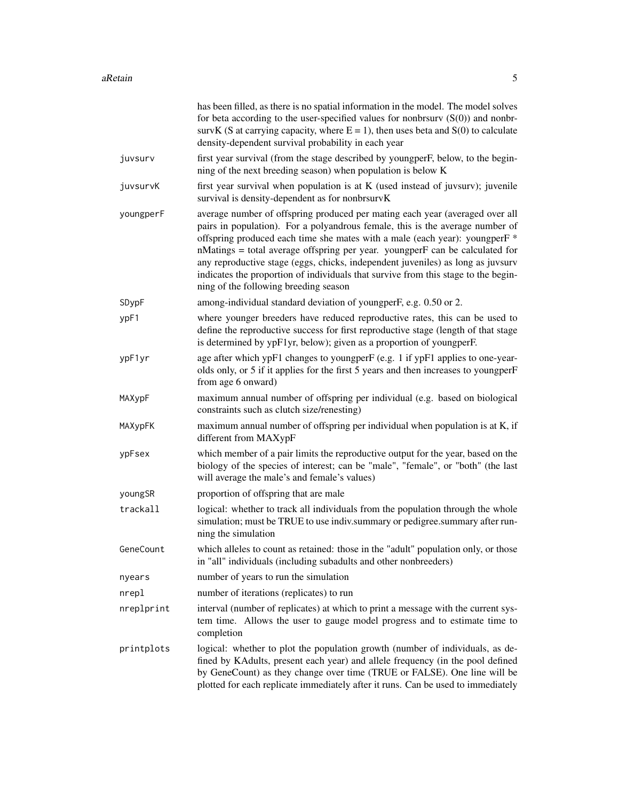|            | has been filled, as there is no spatial information in the model. The model solves<br>for beta according to the user-specified values for nonbraury $(S(0))$ and nonbr-<br>survK (S at carrying capacity, where $E = 1$ ), then uses beta and S(0) to calculate<br>density-dependent survival probability in each year                                                                                                                                                                                                                                    |
|------------|-----------------------------------------------------------------------------------------------------------------------------------------------------------------------------------------------------------------------------------------------------------------------------------------------------------------------------------------------------------------------------------------------------------------------------------------------------------------------------------------------------------------------------------------------------------|
| juvsurv    | first year survival (from the stage described by youngperF, below, to the begin-<br>ning of the next breeding season) when population is below K                                                                                                                                                                                                                                                                                                                                                                                                          |
| juvsurvK   | first year survival when population is at K (used instead of juvsurv); juvenile<br>survival is density-dependent as for nonbrsurvK                                                                                                                                                                                                                                                                                                                                                                                                                        |
| youngperF  | average number of offspring produced per mating each year (averaged over all<br>pairs in population). For a polyandrous female, this is the average number of<br>offspring produced each time she mates with a male (each year): youngperF <sup>*</sup><br>nMatings = total average offspring per year. youngperF can be calculated for<br>any reproductive stage (eggs, chicks, independent juveniles) as long as juvsurv<br>indicates the proportion of individuals that survive from this stage to the begin-<br>ning of the following breeding season |
| SDypF      | among-individual standard deviation of youngperF, e.g. 0.50 or 2.                                                                                                                                                                                                                                                                                                                                                                                                                                                                                         |
| ypF1       | where younger breeders have reduced reproductive rates, this can be used to<br>define the reproductive success for first reproductive stage (length of that stage<br>is determined by ypF1yr, below); given as a proportion of youngperF.                                                                                                                                                                                                                                                                                                                 |
| ypF1yr     | age after which ypF1 changes to youngperF (e.g. 1 if ypF1 applies to one-year-<br>olds only, or 5 if it applies for the first 5 years and then increases to youngperF<br>from age 6 onward)                                                                                                                                                                                                                                                                                                                                                               |
| MAXypF     | maximum annual number of offspring per individual (e.g. based on biological<br>constraints such as clutch size/renesting)                                                                                                                                                                                                                                                                                                                                                                                                                                 |
| MAXypFK    | maximum annual number of offspring per individual when population is at K, if<br>different from MAXypF                                                                                                                                                                                                                                                                                                                                                                                                                                                    |
| ypFsex     | which member of a pair limits the reproductive output for the year, based on the<br>biology of the species of interest; can be "male", "female", or "both" (the last<br>will average the male's and female's values)                                                                                                                                                                                                                                                                                                                                      |
| youngSR    | proportion of offspring that are male                                                                                                                                                                                                                                                                                                                                                                                                                                                                                                                     |
| trackall   | logical: whether to track all individuals from the population through the whole<br>simulation; must be TRUE to use indiv.summary or pedigree.summary after run-<br>ning the simulation                                                                                                                                                                                                                                                                                                                                                                    |
| GeneCount  | which alleles to count as retained: those in the "adult" population only, or those<br>in "all" individuals (including subadults and other nonbreeders)                                                                                                                                                                                                                                                                                                                                                                                                    |
| nyears     | number of years to run the simulation                                                                                                                                                                                                                                                                                                                                                                                                                                                                                                                     |
| nrepl      | number of iterations (replicates) to run                                                                                                                                                                                                                                                                                                                                                                                                                                                                                                                  |
| nreplprint | interval (number of replicates) at which to print a message with the current sys-<br>tem time. Allows the user to gauge model progress and to estimate time to<br>completion                                                                                                                                                                                                                                                                                                                                                                              |
| printplots | logical: whether to plot the population growth (number of individuals, as de-<br>fined by KAdults, present each year) and allele frequency (in the pool defined<br>by GeneCount) as they change over time (TRUE or FALSE). One line will be<br>plotted for each replicate immediately after it runs. Can be used to immediately                                                                                                                                                                                                                           |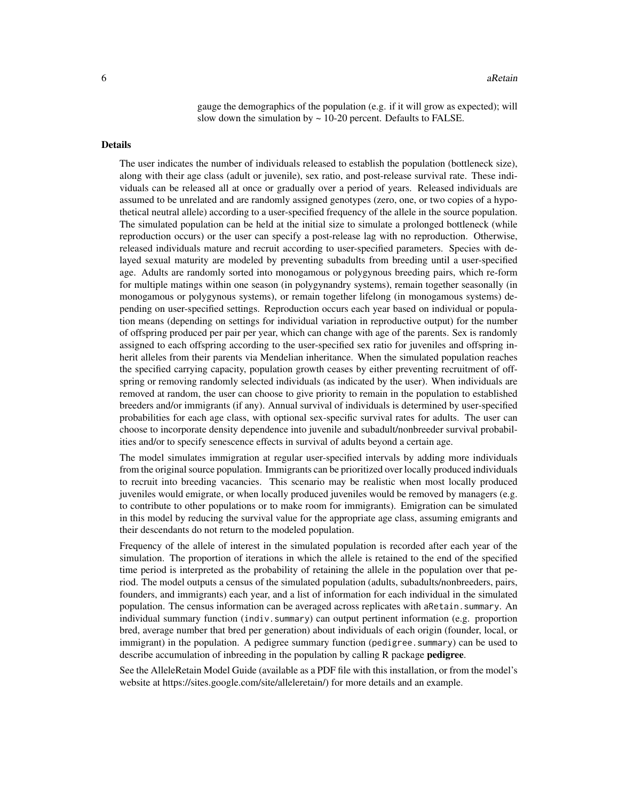gauge the demographics of the population (e.g. if it will grow as expected); will slow down the simulation by  $\sim$  10-20 percent. Defaults to FALSE.

#### Details

The user indicates the number of individuals released to establish the population (bottleneck size), along with their age class (adult or juvenile), sex ratio, and post-release survival rate. These individuals can be released all at once or gradually over a period of years. Released individuals are assumed to be unrelated and are randomly assigned genotypes (zero, one, or two copies of a hypothetical neutral allele) according to a user-specified frequency of the allele in the source population. The simulated population can be held at the initial size to simulate a prolonged bottleneck (while reproduction occurs) or the user can specify a post-release lag with no reproduction. Otherwise, released individuals mature and recruit according to user-specified parameters. Species with delayed sexual maturity are modeled by preventing subadults from breeding until a user-specified age. Adults are randomly sorted into monogamous or polygynous breeding pairs, which re-form for multiple matings within one season (in polygynandry systems), remain together seasonally (in monogamous or polygynous systems), or remain together lifelong (in monogamous systems) depending on user-specified settings. Reproduction occurs each year based on individual or population means (depending on settings for individual variation in reproductive output) for the number of offspring produced per pair per year, which can change with age of the parents. Sex is randomly assigned to each offspring according to the user-specified sex ratio for juveniles and offspring inherit alleles from their parents via Mendelian inheritance. When the simulated population reaches the specified carrying capacity, population growth ceases by either preventing recruitment of offspring or removing randomly selected individuals (as indicated by the user). When individuals are removed at random, the user can choose to give priority to remain in the population to established breeders and/or immigrants (if any). Annual survival of individuals is determined by user-specified probabilities for each age class, with optional sex-specific survival rates for adults. The user can choose to incorporate density dependence into juvenile and subadult/nonbreeder survival probabilities and/or to specify senescence effects in survival of adults beyond a certain age.

The model simulates immigration at regular user-specified intervals by adding more individuals from the original source population. Immigrants can be prioritized over locally produced individuals to recruit into breeding vacancies. This scenario may be realistic when most locally produced juveniles would emigrate, or when locally produced juveniles would be removed by managers (e.g. to contribute to other populations or to make room for immigrants). Emigration can be simulated in this model by reducing the survival value for the appropriate age class, assuming emigrants and their descendants do not return to the modeled population.

Frequency of the allele of interest in the simulated population is recorded after each year of the simulation. The proportion of iterations in which the allele is retained to the end of the specified time period is interpreted as the probability of retaining the allele in the population over that period. The model outputs a census of the simulated population (adults, subadults/nonbreeders, pairs, founders, and immigrants) each year, and a list of information for each individual in the simulated population. The census information can be averaged across replicates with aRetain. summary. An individual summary function (indiv.summary) can output pertinent information (e.g. proportion bred, average number that bred per generation) about individuals of each origin (founder, local, or immigrant) in the population. A pedigree summary function (pedigree.summary) can be used to describe accumulation of inbreeding in the population by calling R package pedigree.

See the AlleleRetain Model Guide (available as a PDF file with this installation, or from the model's website at https://sites.google.com/site/alleleretain/) for more details and an example.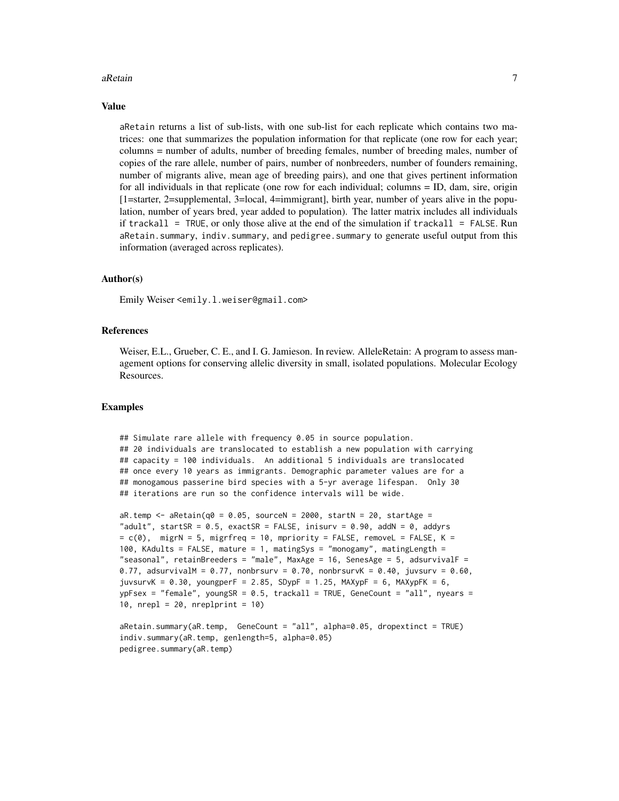#### aRetain  $\overline{7}$

#### Value

aRetain returns a list of sub-lists, with one sub-list for each replicate which contains two matrices: one that summarizes the population information for that replicate (one row for each year; columns = number of adults, number of breeding females, number of breeding males, number of copies of the rare allele, number of pairs, number of nonbreeders, number of founders remaining, number of migrants alive, mean age of breeding pairs), and one that gives pertinent information for all individuals in that replicate (one row for each individual; columns = ID, dam, sire, origin [1=starter, 2=supplemental, 3=local, 4=immigrant], birth year, number of years alive in the population, number of years bred, year added to population). The latter matrix includes all individuals if trackall = TRUE, or only those alive at the end of the simulation if trackall = FALSE. Run aRetain.summary, indiv.summary, and pedigree.summary to generate useful output from this information (averaged across replicates).

#### Author(s)

Emily Weiser <emily.l.weiser@gmail.com>

#### References

Weiser, E.L., Grueber, C. E., and I. G. Jamieson. In review. AlleleRetain: A program to assess management options for conserving allelic diversity in small, isolated populations. Molecular Ecology Resources.

#### Examples

```
## Simulate rare allele with frequency 0.05 in source population.
## 20 individuals are translocated to establish a new population with carrying
## capacity = 100 individuals. An additional 5 individuals are translocated
## once every 10 years as immigrants. Demographic parameter values are for a
## monogamous passerine bird species with a 5-yr average lifespan. Only 30
## iterations are run so the confidence intervals will be wide.
aR.temp <- aRetain(q0 = 0.05, sourceN = 2000, startN = 20, startAge ="adult", startSR = 0.5, exactSR = FALSE, inisurv = 0.90, addN = 0, addyrs
= c(0), migrN = 5, migrfreq = 10, mpriority = FALES, removeL = FALEE, K =100, KAdults = FALSE, mature = 1, matingSys = "monogamy", matingLength =
"seasonal", retainBreeders = "male", MaxAge = 16, SenesAge = 5, adsurvivalF =
0.77, adsurvivalM = 0.77, nonbrsurv = 0.70, nonbrsurvK = 0.40, juvsurv = 0.60,
juvsurvK = 0.30, youngperF = 2.85, SDypF = 1.25, MAXypF = 6, MAXypFK = 6,
ypFsex = "female", youngSR = 0.5, trackall = TRUE, GeneCount = "all", nyears =
10, nrep1 = 20, nrep1print = 10aRetain.summary(aR.temp, GeneCount = "all", alpha=0.05, dropextinct = TRUE)
```

```
indiv.summary(aR.temp, genlength=5, alpha=0.05)
pedigree.summary(aR.temp)
```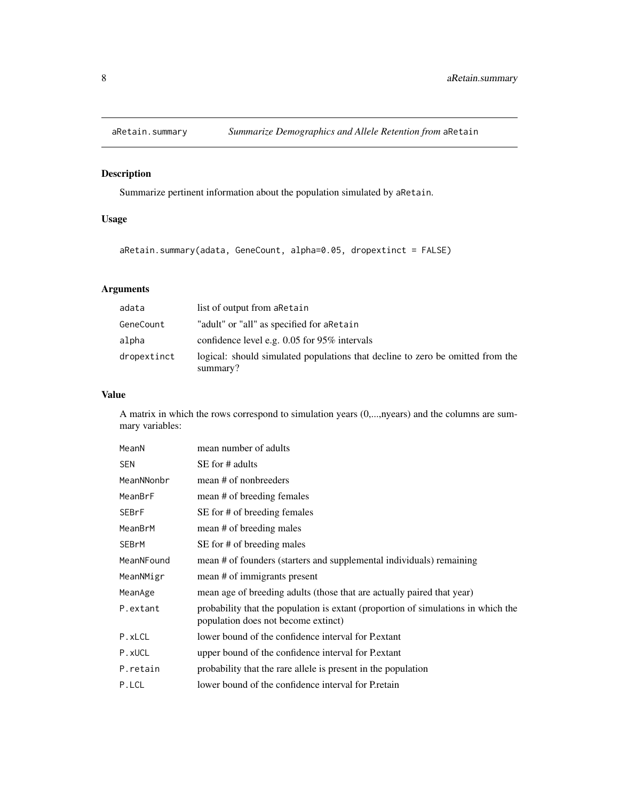<span id="page-7-0"></span>

# Description

Summarize pertinent information about the population simulated by aRetain.

# Usage

```
aRetain.summary(adata, GeneCount, alpha=0.05, dropextinct = FALSE)
```
# Arguments

| adata       | list of output from a Retain                                                               |
|-------------|--------------------------------------------------------------------------------------------|
| GeneCount   | "adult" or "all" as specified for aRetain                                                  |
| alpha       | confidence level e.g. $0.05$ for 95% intervals                                             |
| dropextinct | logical: should simulated populations that decline to zero be omitted from the<br>summary? |

# Value

A matrix in which the rows correspond to simulation years (0,...,nyears) and the columns are summary variables:

| MeanN      | mean number of adults                                                                                                    |
|------------|--------------------------------------------------------------------------------------------------------------------------|
| <b>SEN</b> | SE for # adults                                                                                                          |
| MeanNNonbr | mean # of nonbreeders                                                                                                    |
| MeanBrF    | mean # of breeding females                                                                                               |
| SEBrF      | SE for # of breeding females                                                                                             |
| MeanBrM    | mean # of breeding males                                                                                                 |
| SEBrM      | SE for # of breeding males                                                                                               |
| MeanNFound | mean # of founders (starters and supplemental individuals) remaining                                                     |
| MeanNMigr  | mean # of immigrants present                                                                                             |
| MeanAge    | mean age of breeding adults (those that are actually paired that year)                                                   |
| P.extant   | probability that the population is extant (proportion of simulations in which the<br>population does not become extinct) |
| P.xLCL     | lower bound of the confidence interval for P.extant                                                                      |
| P.xUCL     | upper bound of the confidence interval for P. extant                                                                     |
| P.retain   | probability that the rare allele is present in the population                                                            |
| P.LCL      | lower bound of the confidence interval for Pretain                                                                       |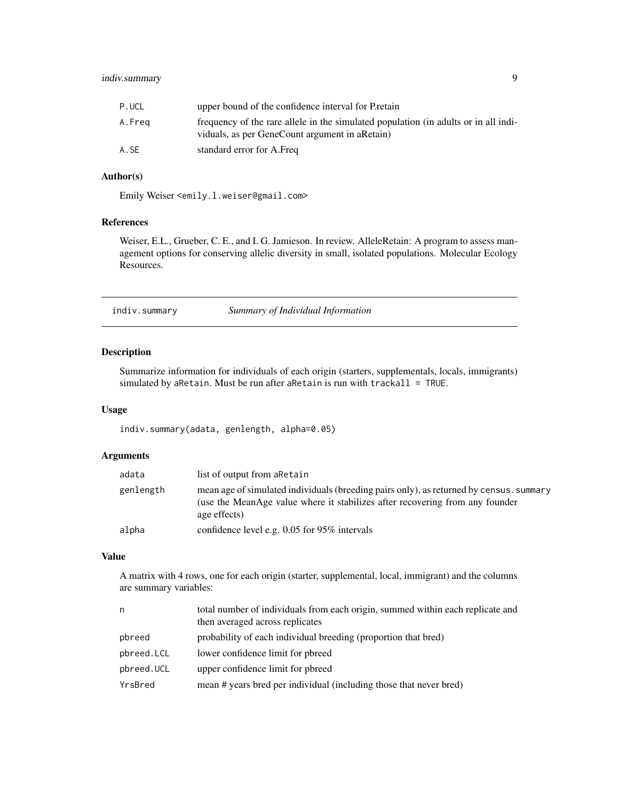# <span id="page-8-0"></span>indiv.summary 9

| P.UCL  | upper bound of the confidence interval for Pretain                                                                                     |
|--------|----------------------------------------------------------------------------------------------------------------------------------------|
| A.Freq | frequency of the rare allele in the simulated population (in adults or in all indi-<br>viduals, as per GeneCount argument in a Retain) |
| A.SE   | standard error for A.Freq                                                                                                              |

#### Author(s)

Emily Weiser <emily.l.weiser@gmail.com>

# References

Weiser, E.L., Grueber, C. E., and I. G. Jamieson. In review. AlleleRetain: A program to assess management options for conserving allelic diversity in small, isolated populations. Molecular Ecology Resources.

indiv.summary *Summary of Individual Information*

#### Description

Summarize information for individuals of each origin (starters, supplementals, locals, immigrants) simulated by aRetain. Must be run after aRetain is run with trackall = TRUE.

#### Usage

indiv.summary(adata, genlength, alpha=0.05)

# Arguments

| adata     | list of output from a Retain                                                                                                                                                            |
|-----------|-----------------------------------------------------------------------------------------------------------------------------------------------------------------------------------------|
| genlength | mean age of simulated individuals (breeding pairs only), as returned by census. summary<br>(use the MeanAge value where it stabilizes after recovering from any founder<br>age effects) |
| alpha     | confidence level e.g. $0.05$ for 95% intervals                                                                                                                                          |

# Value

A matrix with 4 rows, one for each origin (starter, supplemental, local, immigrant) and the columns are summary variables:

| n          | total number of individuals from each origin, summed within each replicate and<br>then averaged across replicates |
|------------|-------------------------------------------------------------------------------------------------------------------|
| pbreed     | probability of each individual breeding (proportion that bred)                                                    |
| pbreed.LCL | lower confidence limit for pbreed                                                                                 |
| pbreed.UCL | upper confidence limit for pbreed                                                                                 |
| YrsBred    | mean # years bred per individual (including those that never bred)                                                |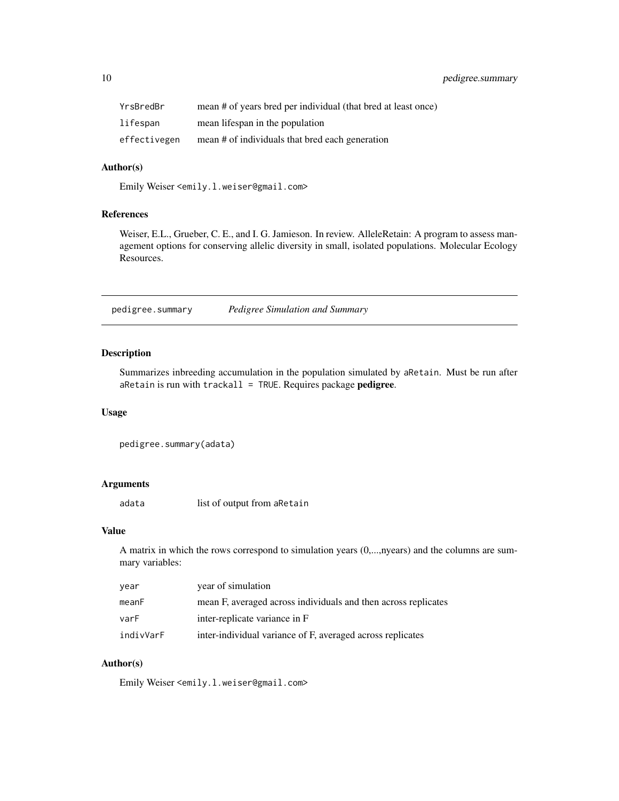<span id="page-9-0"></span>

| YrsBredBr    | mean # of years bred per individual (that bred at least once) |
|--------------|---------------------------------------------------------------|
| lifespan     | mean lifespan in the population                               |
| effectivegen | mean # of individuals that bred each generation               |

# Author(s)

Emily Weiser <emily.l.weiser@gmail.com>

# References

Weiser, E.L., Grueber, C. E., and I. G. Jamieson. In review. AlleleRetain: A program to assess management options for conserving allelic diversity in small, isolated populations. Molecular Ecology Resources.

pedigree.summary *Pedigree Simulation and Summary*

# Description

Summarizes inbreeding accumulation in the population simulated by aRetain. Must be run after  $a$ Retain is run with trackall = TRUE. Requires package pedigree.

# Usage

```
pedigree.summary(adata)
```
### Arguments

adata list of output from aRetain

#### Value

A matrix in which the rows correspond to simulation years (0,...,nyears) and the columns are summary variables:

| vear      | year of simulation                                             |
|-----------|----------------------------------------------------------------|
| meanF     | mean F, averaged across individuals and then across replicates |
| varF      | inter-replicate variance in F                                  |
| indivVarF | inter-individual variance of F, averaged across replicates     |

# Author(s)

Emily Weiser <emily.l.weiser@gmail.com>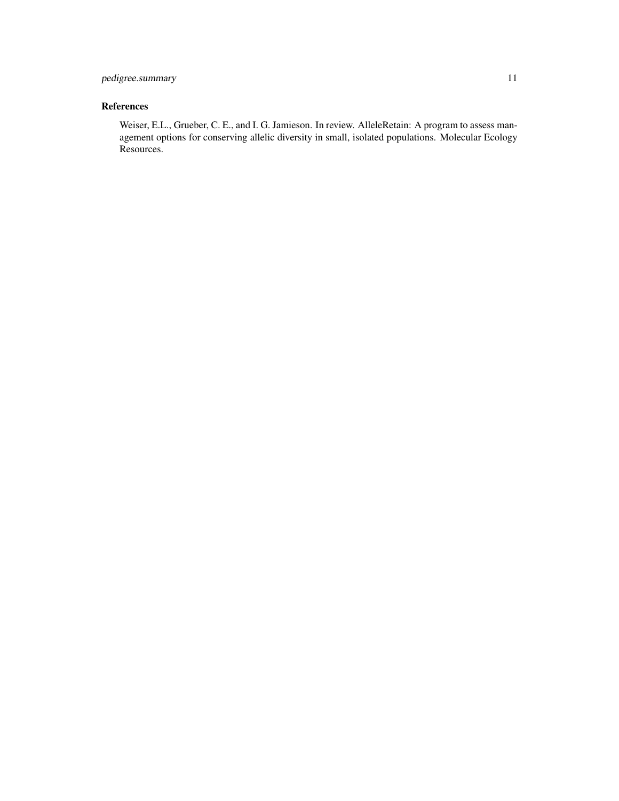# References

Weiser, E.L., Grueber, C. E., and I. G. Jamieson. In review. AlleleRetain: A program to assess management options for conserving allelic diversity in small, isolated populations. Molecular Ecology Resources.